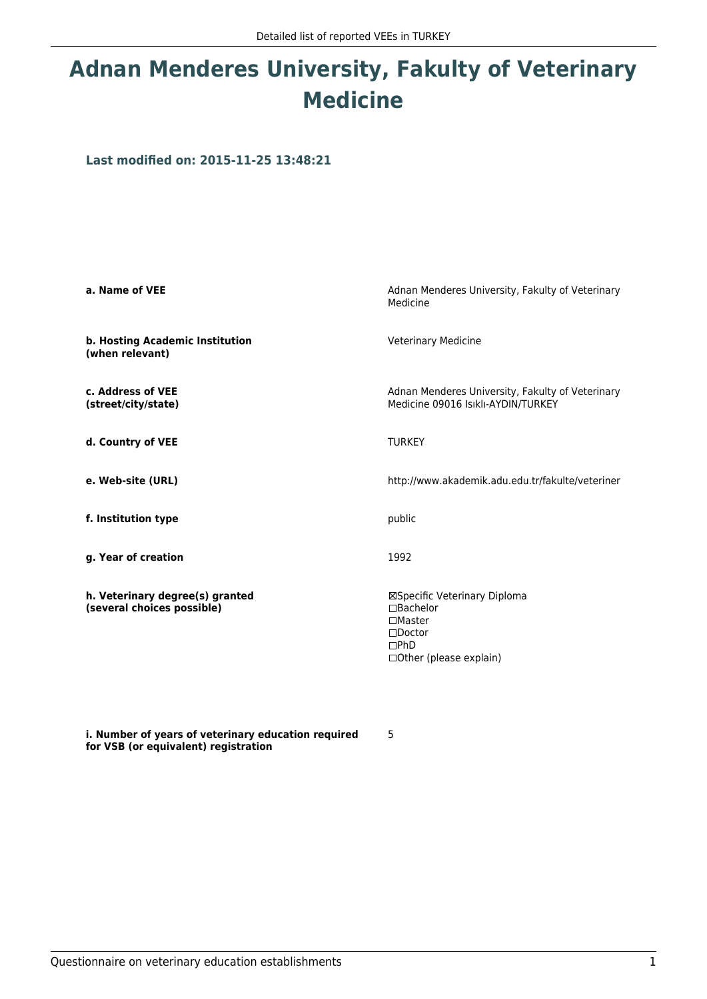# **Adnan Menderes University, Fakulty of Veterinary Medicine**

**Last modified on: 2015-11-25 13:48:21**

| a. Name of VEE                                                | Adnan Menderes University, Fakulty of Veterinary<br>Medicine                                                                  |
|---------------------------------------------------------------|-------------------------------------------------------------------------------------------------------------------------------|
| b. Hosting Academic Institution<br>(when relevant)            | <b>Veterinary Medicine</b>                                                                                                    |
| c. Address of VEE<br>(street/city/state)                      | Adnan Menderes University, Fakulty of Veterinary<br>Medicine 09016 Isıklı-AYDIN/TURKEY                                        |
| d. Country of VEE                                             | <b>TURKEY</b>                                                                                                                 |
| e. Web-site (URL)                                             | http://www.akademik.adu.edu.tr/fakulte/veteriner                                                                              |
| f. Institution type                                           | public                                                                                                                        |
| g. Year of creation                                           | 1992                                                                                                                          |
| h. Veterinary degree(s) granted<br>(several choices possible) | ⊠Specific Veterinary Diploma<br>$\Box$ Bachelor<br>$\square$ Master<br>$\Box$ Doctor<br>DPhD<br>$\Box$ Other (please explain) |

**i. Number of years of veterinary education required for VSB (or equivalent) registration**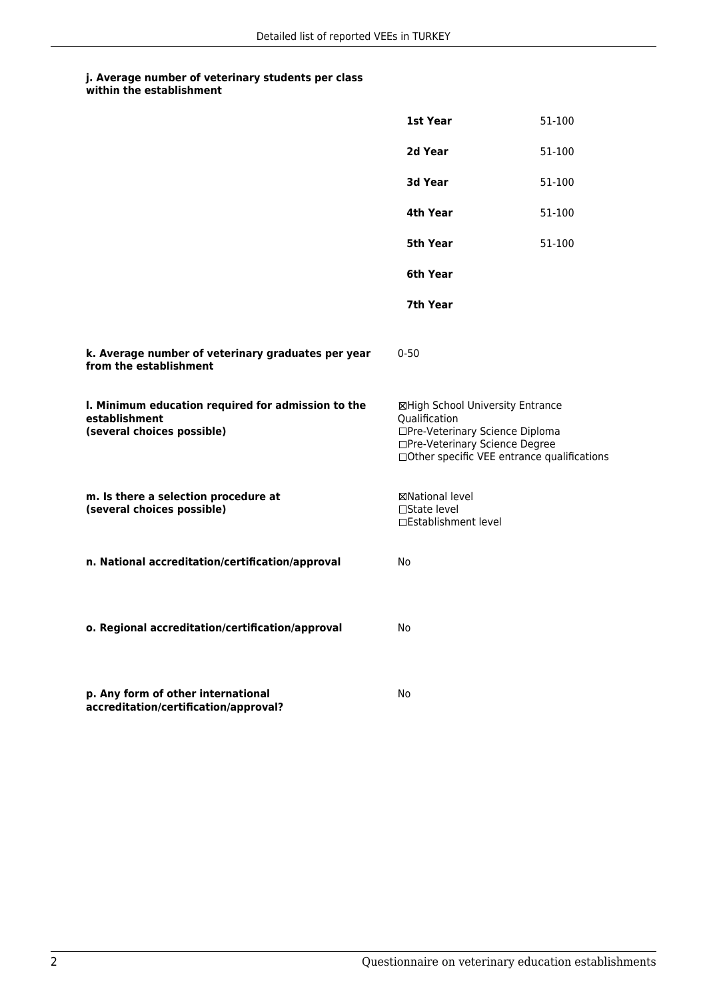|                                                                                                   | 1st Year                                                                                                                                                              | 51-100 |
|---------------------------------------------------------------------------------------------------|-----------------------------------------------------------------------------------------------------------------------------------------------------------------------|--------|
|                                                                                                   | 2d Year                                                                                                                                                               | 51-100 |
|                                                                                                   | 3d Year                                                                                                                                                               | 51-100 |
|                                                                                                   | 4th Year                                                                                                                                                              | 51-100 |
|                                                                                                   | 5th Year                                                                                                                                                              | 51-100 |
|                                                                                                   | 6th Year                                                                                                                                                              |        |
|                                                                                                   | 7th Year                                                                                                                                                              |        |
| k. Average number of veterinary graduates per year<br>from the establishment                      | $0 - 50$                                                                                                                                                              |        |
| I. Minimum education required for admission to the<br>establishment<br>(several choices possible) | ⊠High School University Entrance<br>Qualification<br>□Pre-Veterinary Science Diploma<br>□Pre-Veterinary Science Degree<br>□Other specific VEE entrance qualifications |        |
| m. Is there a selection procedure at<br>(several choices possible)                                | ⊠National level<br>□State level<br>□Establishment level                                                                                                               |        |
| n. National accreditation/certification/approval                                                  | No                                                                                                                                                                    |        |
| o. Regional accreditation/certification/approval                                                  | No.                                                                                                                                                                   |        |
| p. Any form of other international<br>accreditation/certification/approval?                       | No                                                                                                                                                                    |        |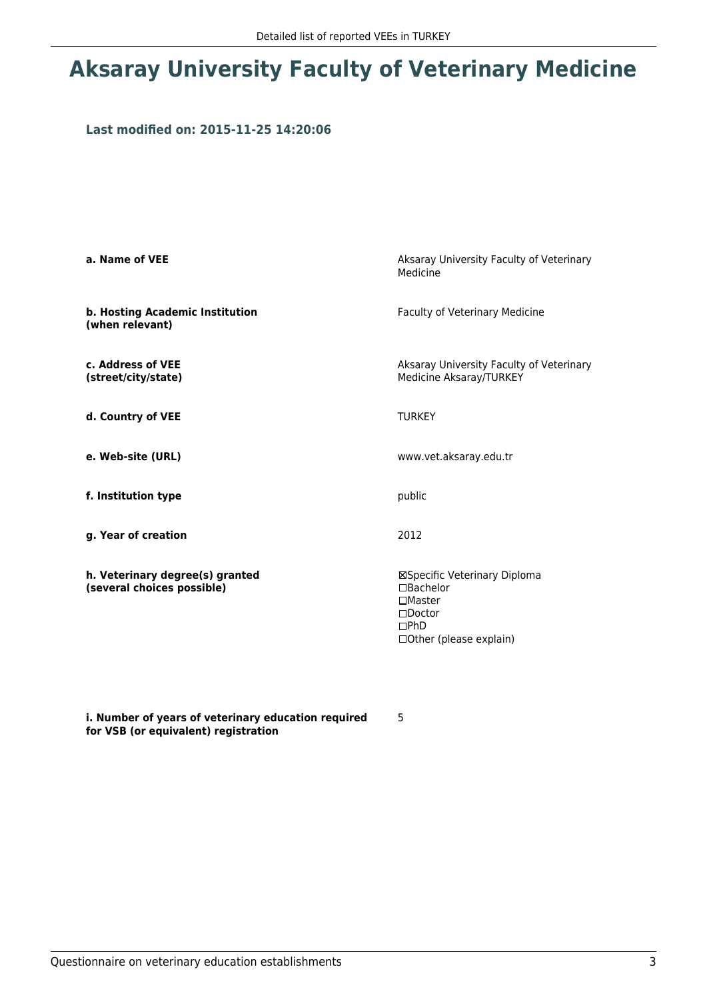# **Aksaray University Faculty of Veterinary Medicine**

### **Last modified on: 2015-11-25 14:20:06**

| a. Name of VEE                                                | Aksaray University Faculty of Veterinary<br>Medicine                                                                              |
|---------------------------------------------------------------|-----------------------------------------------------------------------------------------------------------------------------------|
| b. Hosting Academic Institution<br>(when relevant)            | Faculty of Veterinary Medicine                                                                                                    |
| c. Address of VEE<br>(street/city/state)                      | Aksaray University Faculty of Veterinary<br>Medicine Aksaray/TURKEY                                                               |
| d. Country of VEE                                             | <b>TURKEY</b>                                                                                                                     |
| e. Web-site (URL)                                             | www.vet.aksaray.edu.tr                                                                                                            |
| f. Institution type                                           | public                                                                                                                            |
| g. Year of creation                                           | 2012                                                                                                                              |
| h. Veterinary degree(s) granted<br>(several choices possible) | ⊠Specific Veterinary Diploma<br>$\Box$ Bachelor<br>$\square$ Master<br>$\square$ Doctor<br>$\Box$ PhD<br>□ Other (please explain) |

**i. Number of years of veterinary education required for VSB (or equivalent) registration**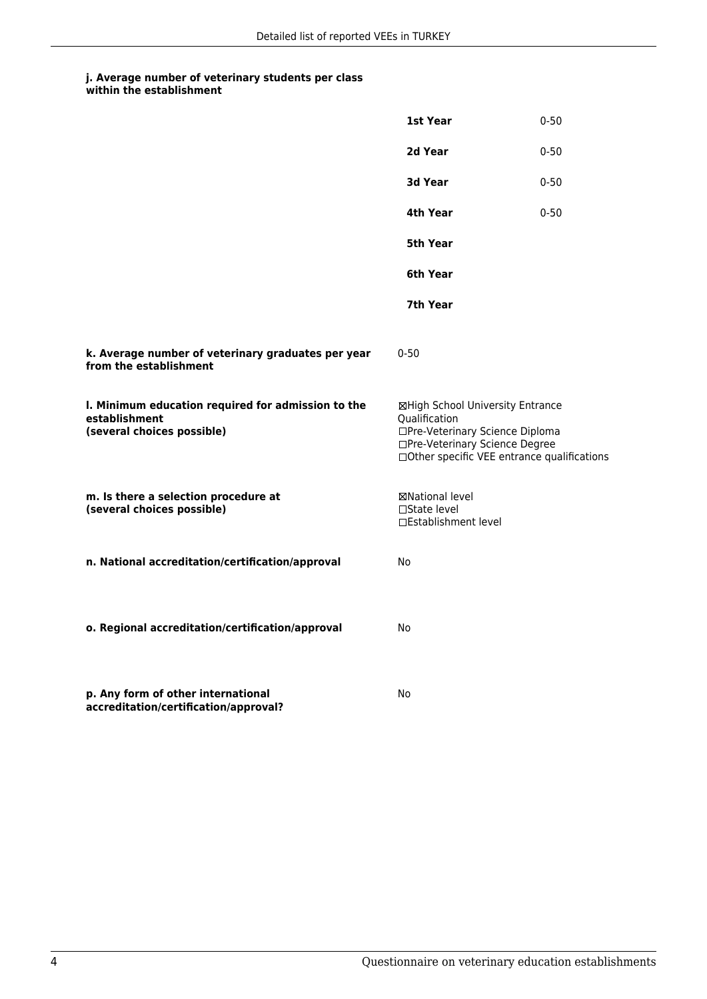|                                                                                                   | 1st Year                                                                                                                                                              | $0 - 50$ |
|---------------------------------------------------------------------------------------------------|-----------------------------------------------------------------------------------------------------------------------------------------------------------------------|----------|
|                                                                                                   | 2d Year                                                                                                                                                               | $0 - 50$ |
|                                                                                                   | 3d Year                                                                                                                                                               | $0 - 50$ |
|                                                                                                   | 4th Year                                                                                                                                                              | $0 - 50$ |
|                                                                                                   | 5th Year                                                                                                                                                              |          |
|                                                                                                   | 6th Year                                                                                                                                                              |          |
|                                                                                                   | 7th Year                                                                                                                                                              |          |
| k. Average number of veterinary graduates per year<br>from the establishment                      | $0 - 50$                                                                                                                                                              |          |
| I. Minimum education required for admission to the<br>establishment<br>(several choices possible) | ⊠High School University Entrance<br>Qualification<br>□Pre-Veterinary Science Diploma<br>□Pre-Veterinary Science Degree<br>□Other specific VEE entrance qualifications |          |
| m. Is there a selection procedure at<br>(several choices possible)                                | ⊠National level<br>□State level<br>□Establishment level                                                                                                               |          |
| n. National accreditation/certification/approval                                                  | No                                                                                                                                                                    |          |
| o. Regional accreditation/certification/approval                                                  | No                                                                                                                                                                    |          |
| p. Any form of other international<br>accreditation/certification/approval?                       | No                                                                                                                                                                    |          |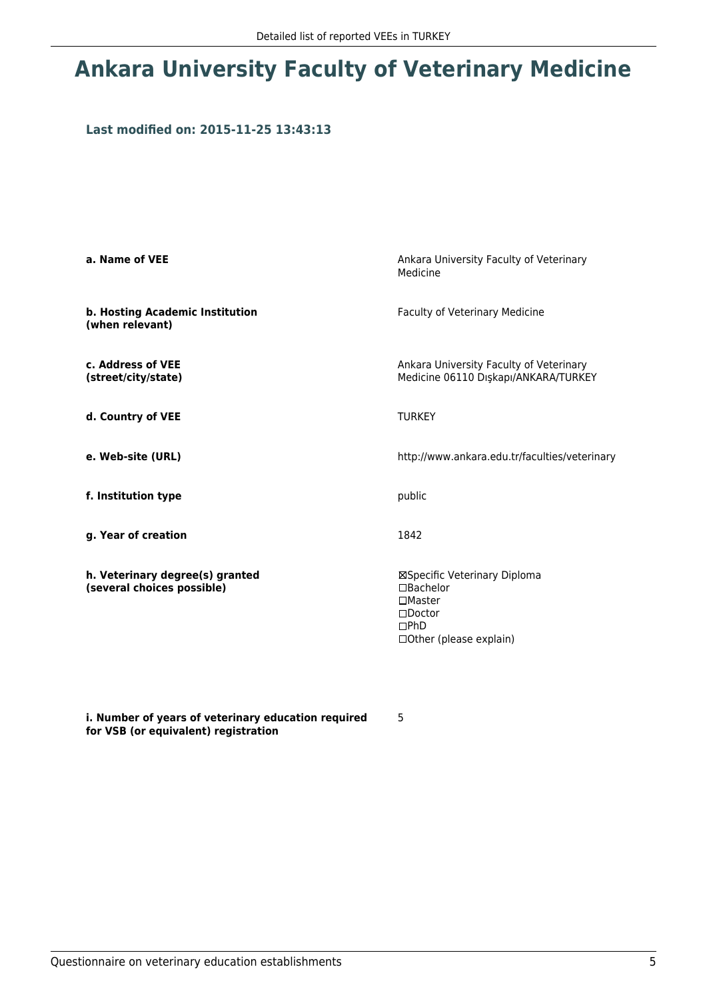# **Ankara University Faculty of Veterinary Medicine**

### **Last modified on: 2015-11-25 13:43:13**

| a. Name of VEE                                                | Ankara University Faculty of Veterinary<br>Medicine                                                                           |
|---------------------------------------------------------------|-------------------------------------------------------------------------------------------------------------------------------|
| b. Hosting Academic Institution<br>(when relevant)            | Faculty of Veterinary Medicine                                                                                                |
| c. Address of VEE<br>(street/city/state)                      | Ankara University Faculty of Veterinary<br>Medicine 06110 Dışkapı/ANKARA/TURKEY                                               |
| d. Country of VEE                                             | <b>TURKEY</b>                                                                                                                 |
| e. Web-site (URL)                                             | http://www.ankara.edu.tr/faculties/veterinary                                                                                 |
| f. Institution type                                           | public                                                                                                                        |
| g. Year of creation                                           | 1842                                                                                                                          |
| h. Veterinary degree(s) granted<br>(several choices possible) | ⊠Specific Veterinary Diploma<br>□Bachelor<br>$\Box$ Master<br>$\square$ Doctor<br>$\Box$ PhD<br>$\Box$ Other (please explain) |

**i. Number of years of veterinary education required for VSB (or equivalent) registration**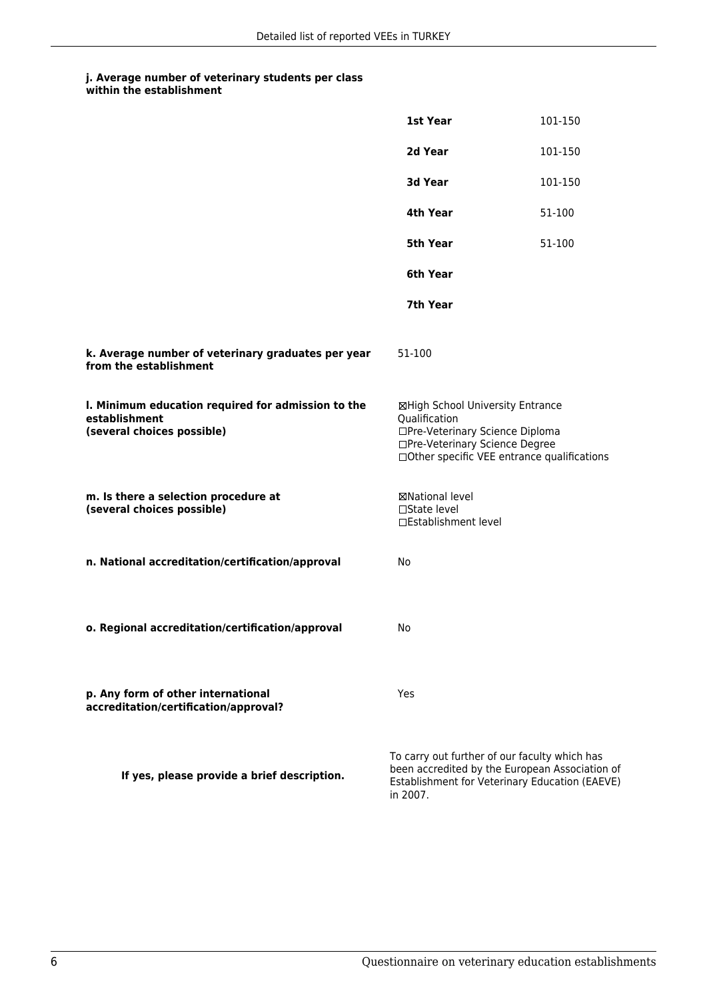|                                                                                                   | 1st Year                                                                                                               | 101-150                                                                                          |
|---------------------------------------------------------------------------------------------------|------------------------------------------------------------------------------------------------------------------------|--------------------------------------------------------------------------------------------------|
|                                                                                                   | 2d Year                                                                                                                | 101-150                                                                                          |
|                                                                                                   | 3d Year                                                                                                                | 101-150                                                                                          |
|                                                                                                   | 4th Year                                                                                                               | 51-100                                                                                           |
|                                                                                                   | 5th Year                                                                                                               | 51-100                                                                                           |
|                                                                                                   | 6th Year                                                                                                               |                                                                                                  |
|                                                                                                   | 7th Year                                                                                                               |                                                                                                  |
| k. Average number of veterinary graduates per year<br>from the establishment                      | 51-100                                                                                                                 |                                                                                                  |
| I. Minimum education required for admission to the<br>establishment<br>(several choices possible) | ⊠High School University Entrance<br>Qualification<br>□Pre-Veterinary Science Diploma<br>□Pre-Veterinary Science Degree | □Other specific VEE entrance qualifications                                                      |
| m. Is there a selection procedure at<br>(several choices possible)                                | ⊠National level<br>$\Box$ State level<br>□Establishment level                                                          |                                                                                                  |
| n. National accreditation/certification/approval                                                  | No                                                                                                                     |                                                                                                  |
|                                                                                                   |                                                                                                                        |                                                                                                  |
| o. Regional accreditation/certification/approval                                                  | No                                                                                                                     |                                                                                                  |
|                                                                                                   |                                                                                                                        |                                                                                                  |
| p. Any form of other international<br>accreditation/certification/approval?                       | Yes                                                                                                                    |                                                                                                  |
| If yes, please provide a brief description.                                                       | To carry out further of our faculty which has<br>in 2007.                                                              | been accredited by the European Association of<br>Establishment for Veterinary Education (EAEVE) |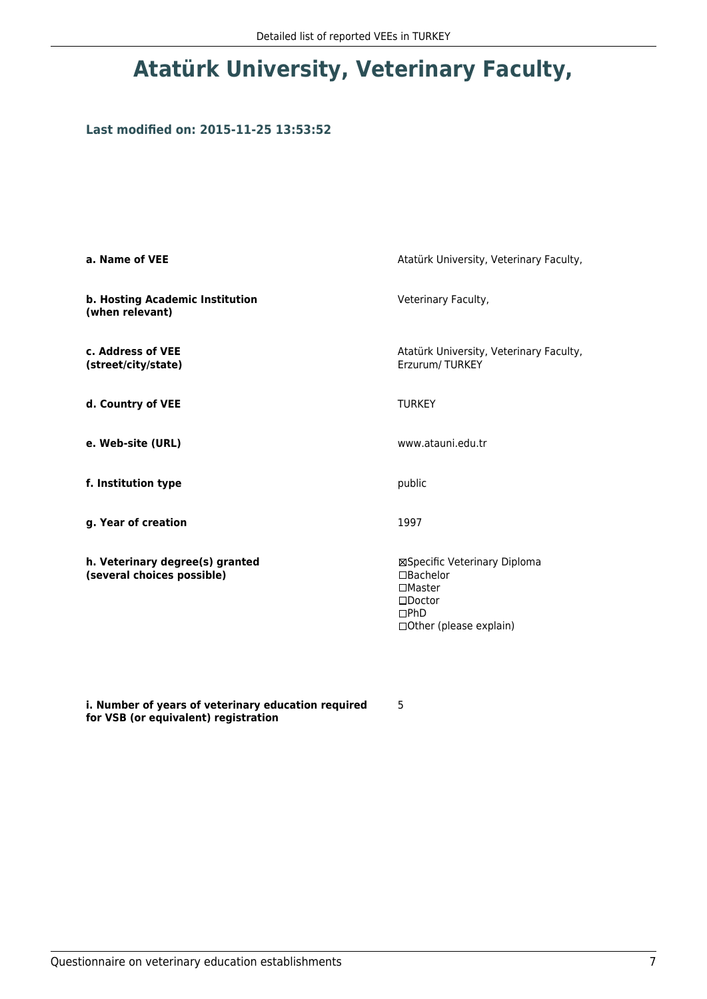## **Atatürk University, Veterinary Faculty,**

### **Last modified on: 2015-11-25 13:53:52**

| a. Name of VEE                                                | Atatürk University, Veterinary Faculty,                                                                                          |
|---------------------------------------------------------------|----------------------------------------------------------------------------------------------------------------------------------|
| b. Hosting Academic Institution<br>(when relevant)            | Veterinary Faculty,                                                                                                              |
| c. Address of VEE<br>(street/city/state)                      | Atatürk University, Veterinary Faculty,<br>Erzurum/TURKEY                                                                        |
| d. Country of VEE                                             | <b>TURKEY</b>                                                                                                                    |
| e. Web-site (URL)                                             | www.atauni.edu.tr                                                                                                                |
| f. Institution type                                           | public                                                                                                                           |
| g. Year of creation                                           | 1997                                                                                                                             |
| h. Veterinary degree(s) granted<br>(several choices possible) | ⊠Specific Veterinary Diploma<br>$\Box$ Bachelor<br>$\square$ Master<br>$\square$ Doctor<br>DPhD<br>$\Box$ Other (please explain) |

**i. Number of years of veterinary education required for VSB (or equivalent) registration**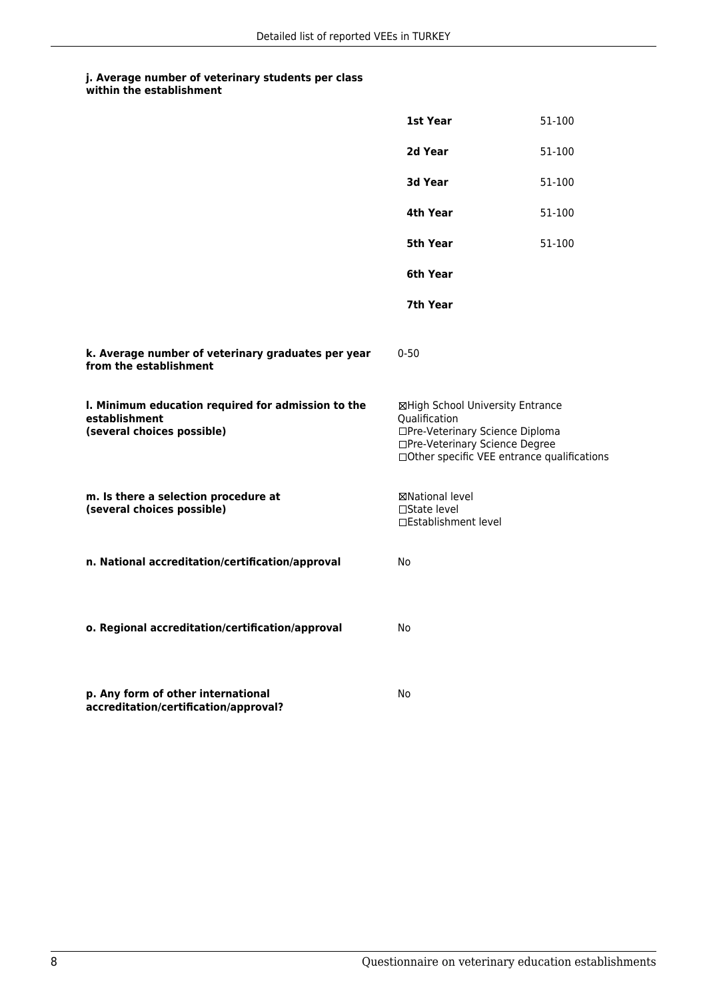|                                                                                                   | 1st Year                                                                                                                                                              | 51-100 |
|---------------------------------------------------------------------------------------------------|-----------------------------------------------------------------------------------------------------------------------------------------------------------------------|--------|
|                                                                                                   | 2d Year                                                                                                                                                               | 51-100 |
|                                                                                                   | 3d Year                                                                                                                                                               | 51-100 |
|                                                                                                   | 4th Year                                                                                                                                                              | 51-100 |
|                                                                                                   | 5th Year                                                                                                                                                              | 51-100 |
|                                                                                                   | 6th Year                                                                                                                                                              |        |
|                                                                                                   | 7th Year                                                                                                                                                              |        |
| k. Average number of veterinary graduates per year<br>from the establishment                      | $0 - 50$                                                                                                                                                              |        |
| I. Minimum education required for admission to the<br>establishment<br>(several choices possible) | ⊠High School University Entrance<br>Qualification<br>□Pre-Veterinary Science Diploma<br>□Pre-Veterinary Science Degree<br>□Other specific VEE entrance qualifications |        |
| m. Is there a selection procedure at<br>(several choices possible)                                | ⊠National level<br>□State level<br>□Establishment level                                                                                                               |        |
| n. National accreditation/certification/approval                                                  | No                                                                                                                                                                    |        |
| o. Regional accreditation/certification/approval                                                  | No                                                                                                                                                                    |        |
| p. Any form of other international<br>accreditation/certification/approval?                       | No                                                                                                                                                                    |        |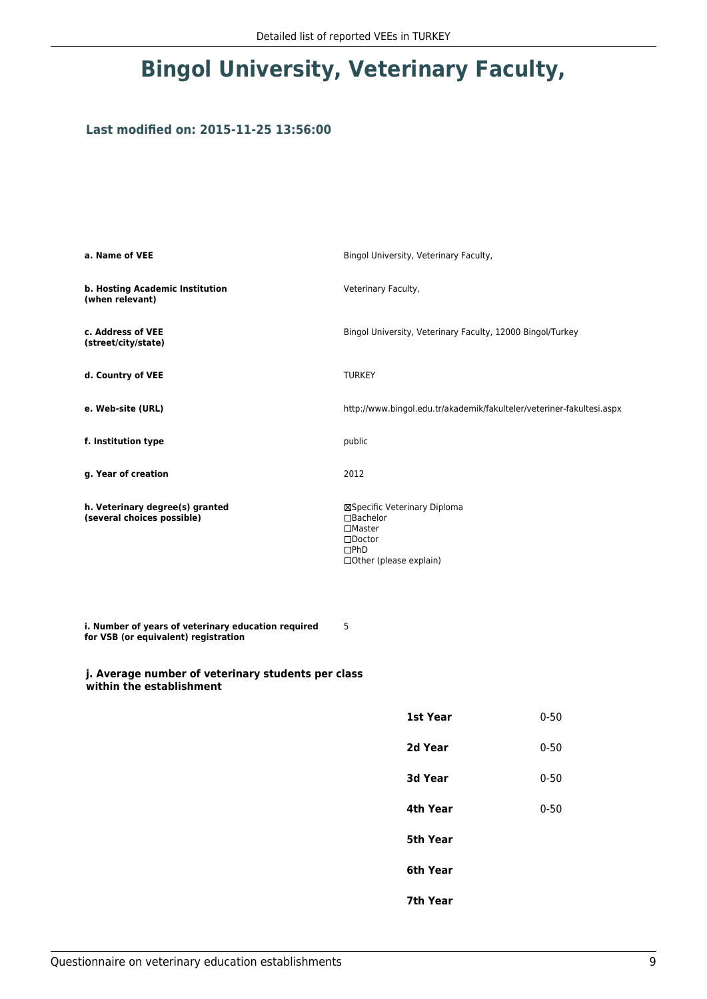# **Bingol University, Veterinary Faculty,**

### **Last modified on: 2015-11-25 13:56:00**

| a. Name of VEE                                                                              | Bingol University, Veterinary Faculty,                                                                                         |          |
|---------------------------------------------------------------------------------------------|--------------------------------------------------------------------------------------------------------------------------------|----------|
| b. Hosting Academic Institution<br>(when relevant)                                          | Veterinary Faculty,                                                                                                            |          |
| c. Address of VEE<br>(street/city/state)                                                    | Bingol University, Veterinary Faculty, 12000 Bingol/Turkey                                                                     |          |
| d. Country of VEE                                                                           | <b>TURKEY</b>                                                                                                                  |          |
| e. Web-site (URL)                                                                           | http://www.bingol.edu.tr/akademik/fakulteler/veteriner-fakultesi.aspx                                                          |          |
| f. Institution type                                                                         | public                                                                                                                         |          |
| g. Year of creation                                                                         | 2012                                                                                                                           |          |
| h. Veterinary degree(s) granted<br>(several choices possible)                               | ⊠Specific Veterinary Diploma<br>□Bachelor<br>$\square$ Master<br>$\square$ Doctor<br>$\square$ PhD<br>□ Other (please explain) |          |
| i. Number of years of veterinary education required<br>for VSB (or equivalent) registration | 5                                                                                                                              |          |
| j. Average number of veterinary students per class<br>within the establishment              |                                                                                                                                |          |
|                                                                                             | 1st Year                                                                                                                       | $0 - 50$ |
|                                                                                             | 2d Year                                                                                                                        | $0 - 50$ |
|                                                                                             | 3d Year                                                                                                                        | $0 - 50$ |
|                                                                                             | 4th Year                                                                                                                       | $0 - 50$ |
|                                                                                             | 5th Year                                                                                                                       |          |
|                                                                                             | 6th Year                                                                                                                       |          |
|                                                                                             | 7th Year                                                                                                                       |          |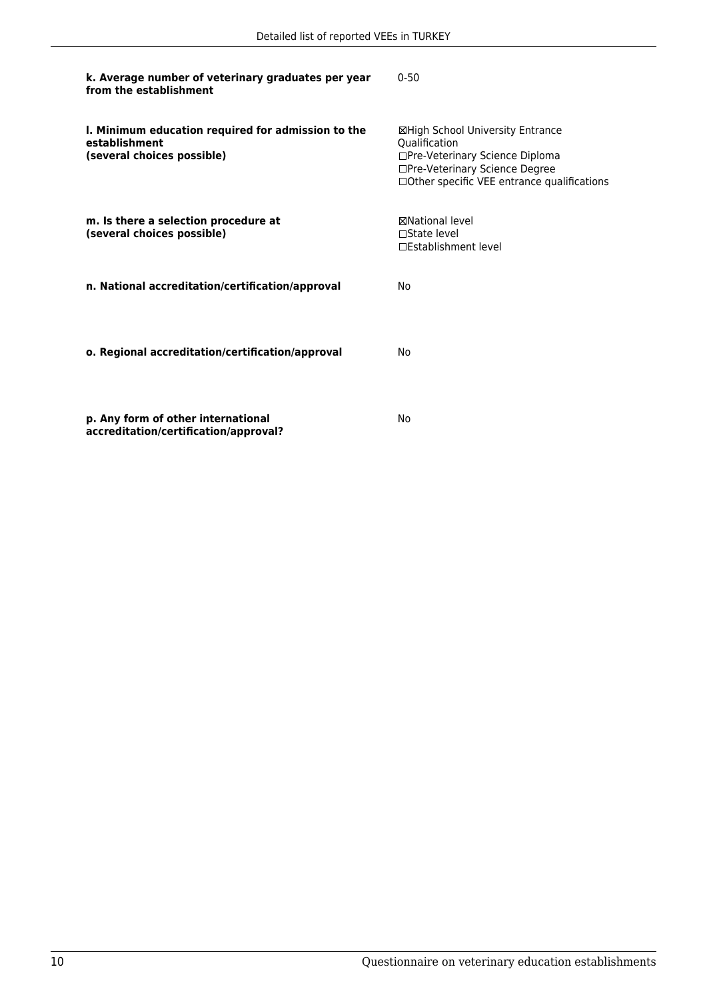| k. Average number of veterinary graduates per year<br>from the establishment                      | $0 - 50$                                                                                                                                                              |
|---------------------------------------------------------------------------------------------------|-----------------------------------------------------------------------------------------------------------------------------------------------------------------------|
| I. Minimum education required for admission to the<br>establishment<br>(several choices possible) | ⊠High School University Entrance<br>Qualification<br>□Pre-Veterinary Science Diploma<br>□Pre-Veterinary Science Degree<br>□Other specific VEE entrance qualifications |
| m. Is there a selection procedure at<br>(several choices possible)                                | <b>⊠National level</b><br>$\Box$ State level<br>□Establishment level                                                                                                  |
| n. National accreditation/certification/approval                                                  | No                                                                                                                                                                    |
| o. Regional accreditation/certification/approval                                                  | N٥                                                                                                                                                                    |
| p. Any form of other international                                                                | No                                                                                                                                                                    |

**accreditation/certification/approval?**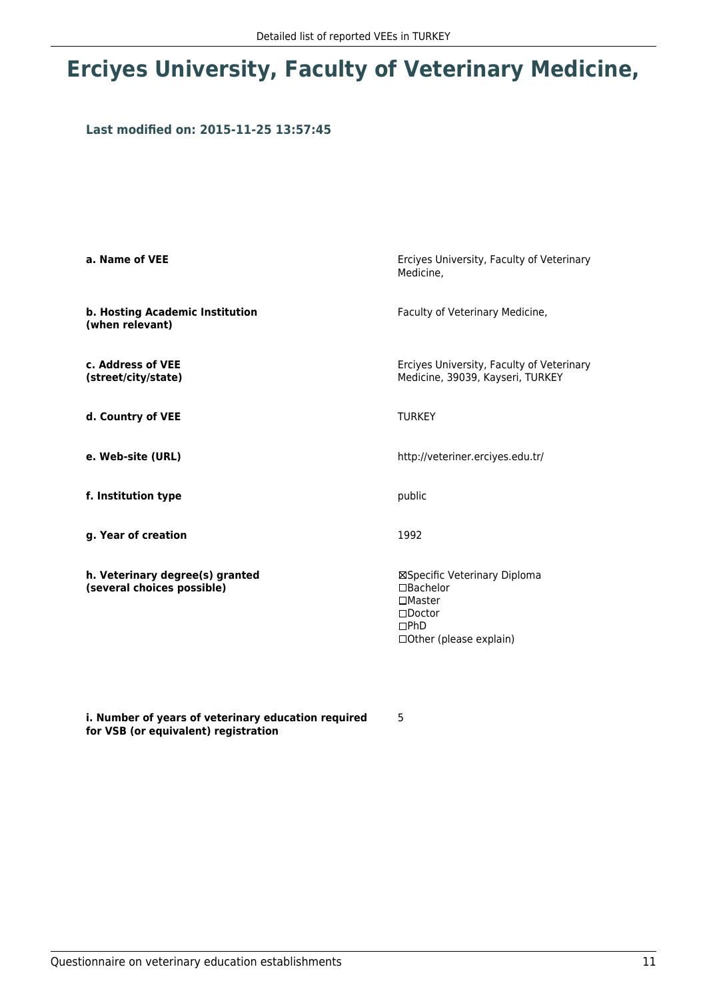# **Erciyes University, Faculty of Veterinary Medicine,**

### **Last modified on: 2015-11-25 13:57:45**

| a. Name of VEE                                                | Erciyes University, Faculty of Veterinary<br>Medicine.                                                                                 |
|---------------------------------------------------------------|----------------------------------------------------------------------------------------------------------------------------------------|
| b. Hosting Academic Institution<br>(when relevant)            | Faculty of Veterinary Medicine,                                                                                                        |
| c. Address of VEE<br>(street/city/state)                      | Erciyes University, Faculty of Veterinary<br>Medicine, 39039, Kayseri, TURKEY                                                          |
| d. Country of VEE                                             | <b>TURKEY</b>                                                                                                                          |
| e. Web-site (URL)                                             | http://veteriner.erciyes.edu.tr/                                                                                                       |
| f. Institution type                                           | public                                                                                                                                 |
| g. Year of creation                                           | 1992                                                                                                                                   |
| h. Veterinary degree(s) granted<br>(several choices possible) | ⊠Specific Veterinary Diploma<br>$\Box$ Bachelor<br>$\square$ Master<br>$\square$ Doctor<br>$\Box$ PhD<br>$\Box$ Other (please explain) |

**i. Number of years of veterinary education required for VSB (or equivalent) registration**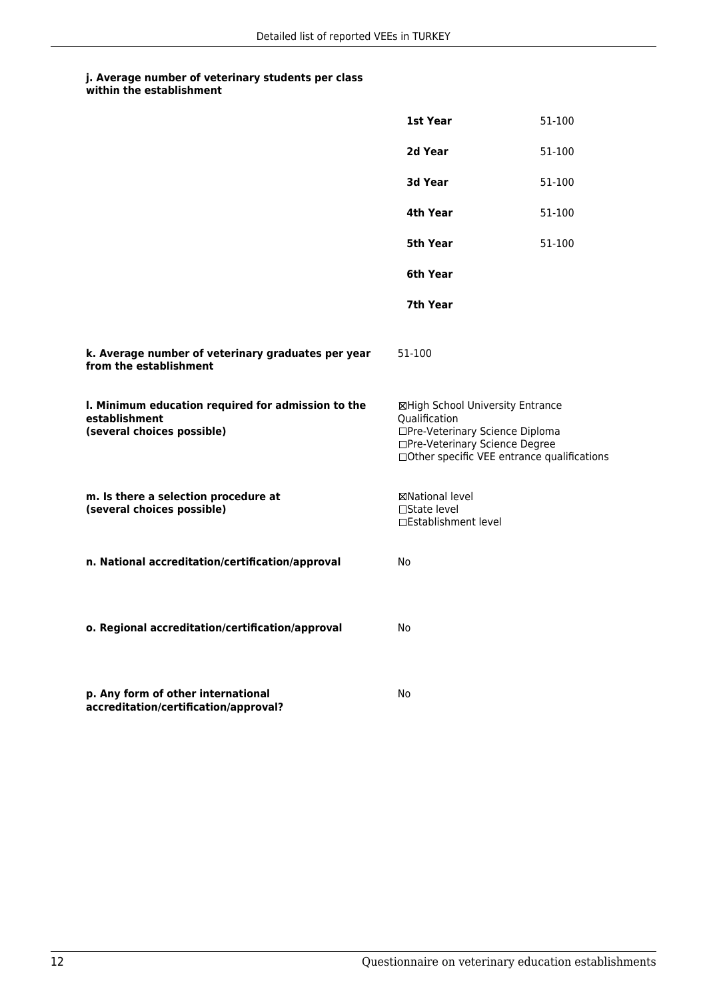|                                                                                                   | 1st Year                                                                                                                                                               | 51-100 |
|---------------------------------------------------------------------------------------------------|------------------------------------------------------------------------------------------------------------------------------------------------------------------------|--------|
|                                                                                                   | 2d Year                                                                                                                                                                | 51-100 |
|                                                                                                   | 3d Year                                                                                                                                                                | 51-100 |
|                                                                                                   | 4th Year                                                                                                                                                               | 51-100 |
|                                                                                                   | 5th Year                                                                                                                                                               | 51-100 |
|                                                                                                   | 6th Year                                                                                                                                                               |        |
|                                                                                                   | 7th Year                                                                                                                                                               |        |
| k. Average number of veterinary graduates per year<br>from the establishment                      | 51-100                                                                                                                                                                 |        |
| I. Minimum education required for admission to the<br>establishment<br>(several choices possible) | ⊠High School University Entrance<br>Qualification<br>□Pre-Veterinary Science Diploma<br>□Pre-Veterinary Science Degree<br>□ Other specific VEE entrance qualifications |        |
| m. Is there a selection procedure at<br>(several choices possible)                                | ⊠National level<br>$\Box$ State level<br>□Establishment level                                                                                                          |        |
| n. National accreditation/certification/approval                                                  | No                                                                                                                                                                     |        |
| o. Regional accreditation/certification/approval                                                  | No                                                                                                                                                                     |        |
| p. Any form of other international<br>accreditation/certification/approval?                       | No                                                                                                                                                                     |        |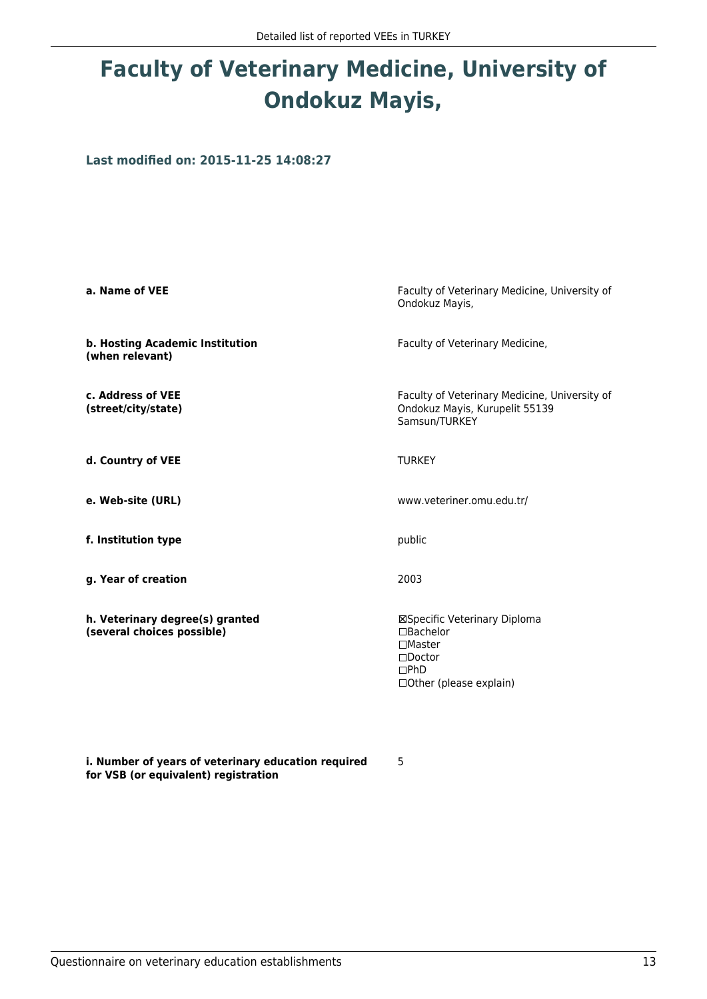# **Faculty of Veterinary Medicine, University of Ondokuz Mayis,**

**Last modified on: 2015-11-25 14:08:27**

| a. Name of VEE                                                | Faculty of Veterinary Medicine, University of<br>Ondokuz Mayis,                                                                |
|---------------------------------------------------------------|--------------------------------------------------------------------------------------------------------------------------------|
| b. Hosting Academic Institution<br>(when relevant)            | Faculty of Veterinary Medicine,                                                                                                |
| c. Address of VEE<br>(street/city/state)                      | Faculty of Veterinary Medicine, University of<br>Ondokuz Mayis, Kurupelit 55139<br>Samsun/TURKEY                               |
| d. Country of VEE                                             | <b>TURKEY</b>                                                                                                                  |
| e. Web-site (URL)                                             | www.veteriner.omu.edu.tr/                                                                                                      |
| f. Institution type                                           | public                                                                                                                         |
| g. Year of creation                                           | 2003                                                                                                                           |
| h. Veterinary degree(s) granted<br>(several choices possible) | ⊠Specific Veterinary Diploma<br>$\Box$ Bachelor<br>$\Box$ Master<br>$\square$ Doctor<br>$\Box$ PhD<br>□ Other (please explain) |

5

**i. Number of years of veterinary education required for VSB (or equivalent) registration**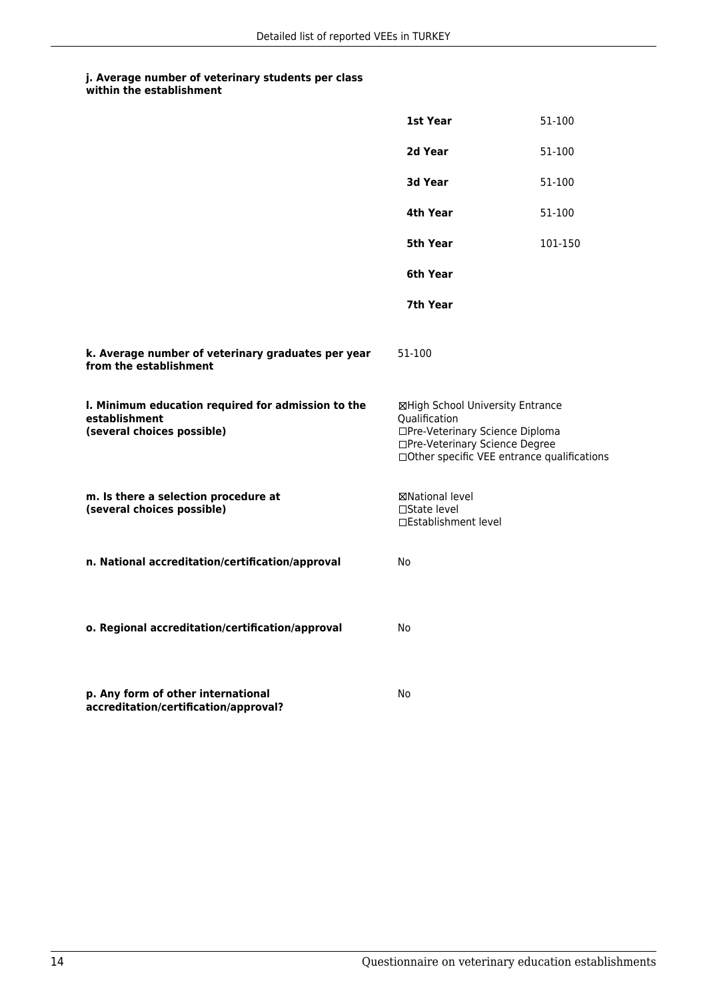|                                                                                                   | 1st Year                                                                                                                                                              | 51-100  |
|---------------------------------------------------------------------------------------------------|-----------------------------------------------------------------------------------------------------------------------------------------------------------------------|---------|
|                                                                                                   | 2d Year                                                                                                                                                               | 51-100  |
|                                                                                                   | 3d Year                                                                                                                                                               | 51-100  |
|                                                                                                   | 4th Year                                                                                                                                                              | 51-100  |
|                                                                                                   | 5th Year                                                                                                                                                              | 101-150 |
|                                                                                                   | 6th Year                                                                                                                                                              |         |
|                                                                                                   | 7th Year                                                                                                                                                              |         |
| k. Average number of veterinary graduates per year<br>from the establishment                      | 51-100                                                                                                                                                                |         |
| I. Minimum education required for admission to the<br>establishment<br>(several choices possible) | ⊠High School University Entrance<br>Qualification<br>□Pre-Veterinary Science Diploma<br>□Pre-Veterinary Science Degree<br>□Other specific VEE entrance qualifications |         |
| m. Is there a selection procedure at<br>(several choices possible)                                | ⊠National level<br>$\Box$ State level<br>□Establishment level                                                                                                         |         |
| n. National accreditation/certification/approval                                                  | No                                                                                                                                                                    |         |
| o. Regional accreditation/certification/approval                                                  | No                                                                                                                                                                    |         |
| p. Any form of other international<br>accreditation/certification/approval?                       | No                                                                                                                                                                    |         |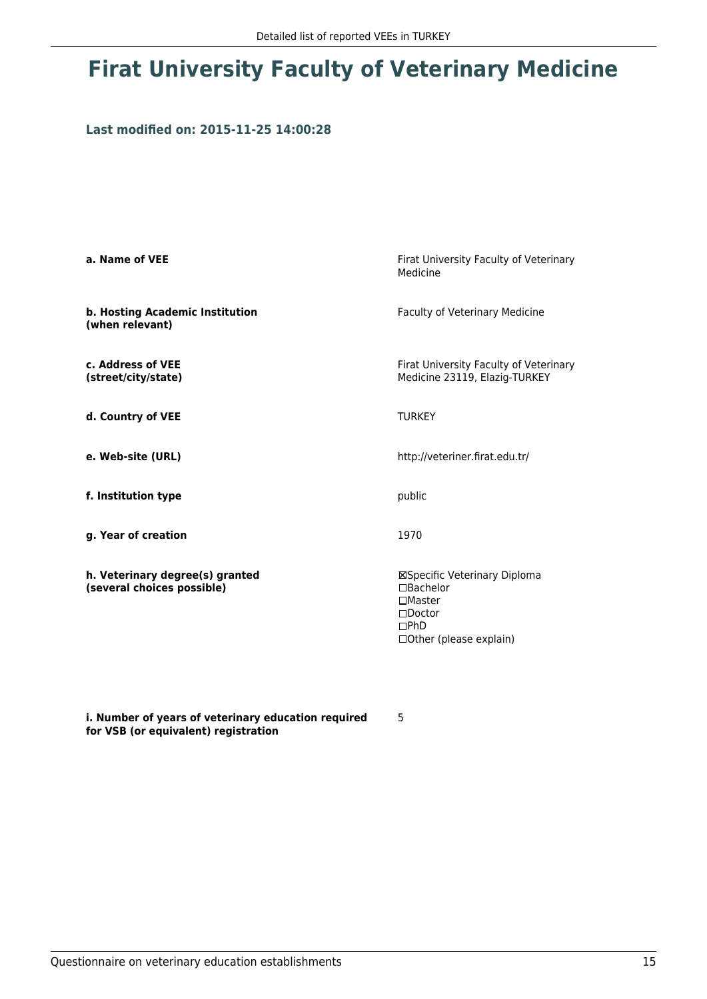# **Firat University Faculty of Veterinary Medicine**

### **Last modified on: 2015-11-25 14:00:28**

| a. Name of VEE                                                | Firat University Faculty of Veterinary<br>Medicine                                                                       |
|---------------------------------------------------------------|--------------------------------------------------------------------------------------------------------------------------|
| b. Hosting Academic Institution<br>(when relevant)            | <b>Faculty of Veterinary Medicine</b>                                                                                    |
| c. Address of VEE<br>(street/city/state)                      | Firat University Faculty of Veterinary<br>Medicine 23119, Elazig-TURKEY                                                  |
| d. Country of VEE                                             | <b>TURKEY</b>                                                                                                            |
| e. Web-site (URL)                                             | http://veteriner.firat.edu.tr/                                                                                           |
| f. Institution type                                           | public                                                                                                                   |
| g. Year of creation                                           | 1970                                                                                                                     |
| h. Veterinary degree(s) granted<br>(several choices possible) | ⊠Specific Veterinary Diploma<br>□Bachelor<br>$\Box$ Master<br>$\square$ Doctor<br>$\Box$ PhD<br>□ Other (please explain) |

**i. Number of years of veterinary education required for VSB (or equivalent) registration**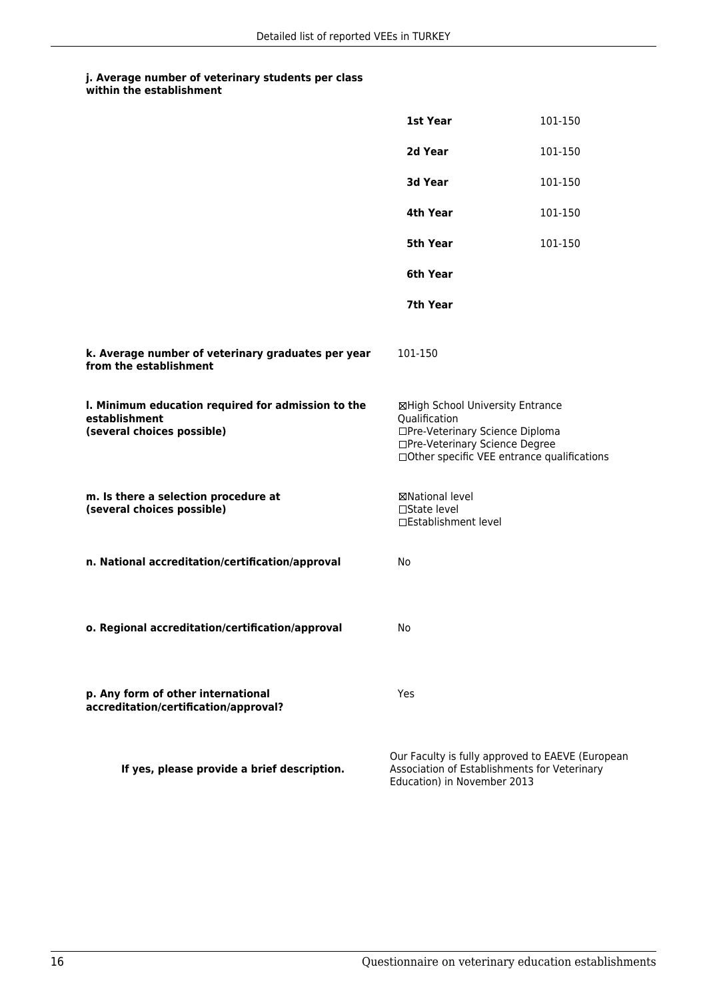|                                                                                                   | 1st Year                                                                                                               | 101-150                                                                                          |
|---------------------------------------------------------------------------------------------------|------------------------------------------------------------------------------------------------------------------------|--------------------------------------------------------------------------------------------------|
|                                                                                                   | 2d Year                                                                                                                | 101-150                                                                                          |
|                                                                                                   | 3d Year                                                                                                                | 101-150                                                                                          |
|                                                                                                   | 4th Year                                                                                                               | 101-150                                                                                          |
|                                                                                                   | <b>5th Year</b>                                                                                                        | 101-150                                                                                          |
|                                                                                                   | 6th Year                                                                                                               |                                                                                                  |
|                                                                                                   | 7th Year                                                                                                               |                                                                                                  |
| k. Average number of veterinary graduates per year<br>from the establishment                      | 101-150                                                                                                                |                                                                                                  |
| I. Minimum education required for admission to the<br>establishment<br>(several choices possible) | ⊠High School University Entrance<br>Qualification<br>□Pre-Veterinary Science Diploma<br>□Pre-Veterinary Science Degree | □Other specific VEE entrance qualifications                                                      |
| m. Is there a selection procedure at<br>(several choices possible)                                | ⊠National level<br>□State level<br>□Establishment level                                                                |                                                                                                  |
| n. National accreditation/certification/approval                                                  | No                                                                                                                     |                                                                                                  |
|                                                                                                   |                                                                                                                        |                                                                                                  |
| o. Regional accreditation/certification/approval                                                  | No                                                                                                                     |                                                                                                  |
| p. Any form of other international<br>accreditation/certification/approval?                       | Yes                                                                                                                    |                                                                                                  |
| If yes, please provide a brief description.                                                       | Education) in November 2013                                                                                            | Our Faculty is fully approved to EAEVE (European<br>Association of Establishments for Veterinary |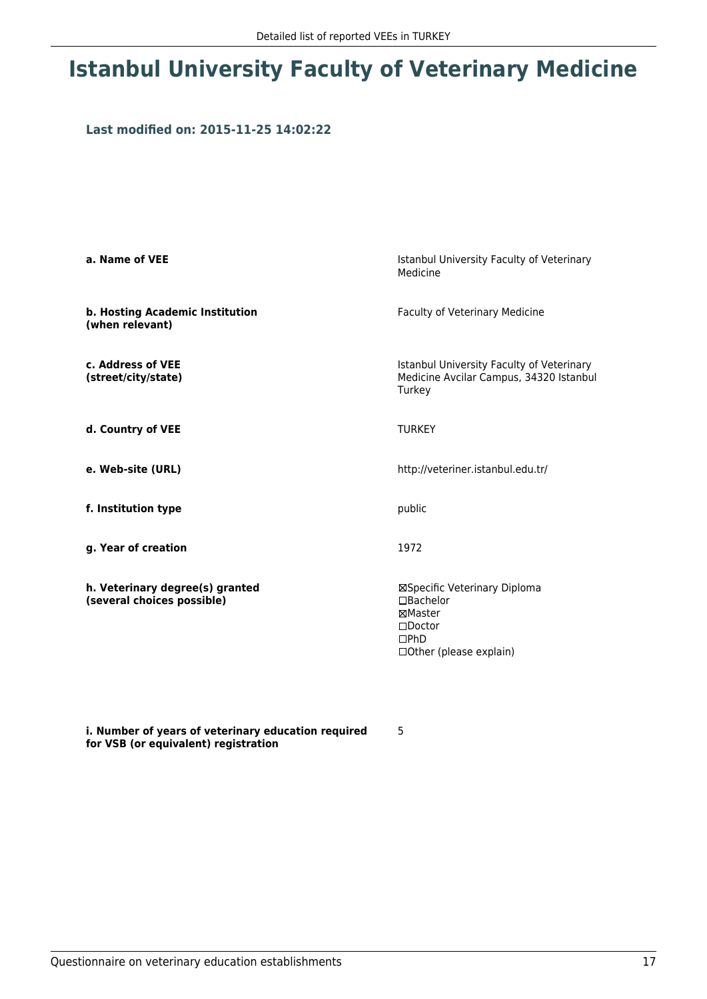## **Istanbul University Faculty of Veterinary Medicine**

### **Last modified on: 2015-11-25 14:02:22**

| a. Name of VEE                                                | Istanbul University Faculty of Veterinary<br>Medicine                                                                 |
|---------------------------------------------------------------|-----------------------------------------------------------------------------------------------------------------------|
| b. Hosting Academic Institution<br>(when relevant)            | Faculty of Veterinary Medicine                                                                                        |
| c. Address of VEE<br>(street/city/state)                      | Istanbul University Faculty of Veterinary<br>Medicine Avcilar Campus, 34320 Istanbul<br>Turkey                        |
| d. Country of VEE                                             | <b>TURKEY</b>                                                                                                         |
| e. Web-site (URL)                                             | http://veteriner.istanbul.edu.tr/                                                                                     |
| f. Institution type                                           | public                                                                                                                |
| g. Year of creation                                           | 1972                                                                                                                  |
| h. Veterinary degree(s) granted<br>(several choices possible) | ⊠Specific Veterinary Diploma<br>$\Box$ Bachelor<br>⊠Master<br>$\Box$ Doctor<br>$\Box$ PhD<br>□ Other (please explain) |

**i. Number of years of veterinary education required for VSB (or equivalent) registration**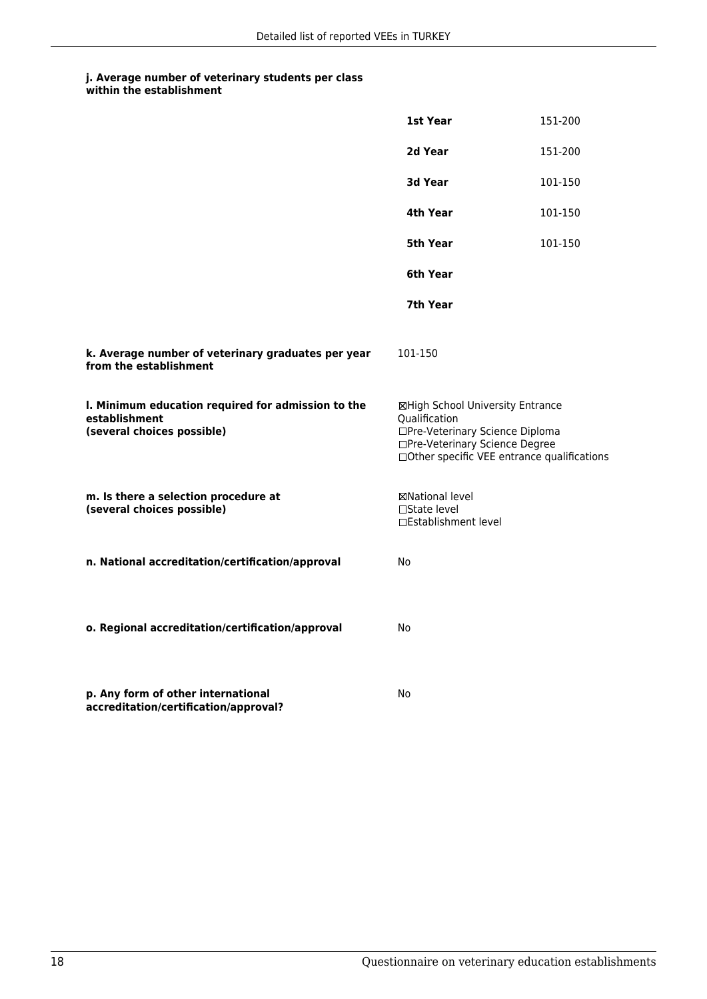|                                                                                                   | 1st Year                                                                                                                                                               | 151-200 |
|---------------------------------------------------------------------------------------------------|------------------------------------------------------------------------------------------------------------------------------------------------------------------------|---------|
|                                                                                                   | 2d Year                                                                                                                                                                | 151-200 |
|                                                                                                   | 3d Year                                                                                                                                                                | 101-150 |
|                                                                                                   | 4th Year                                                                                                                                                               | 101-150 |
|                                                                                                   | 5th Year                                                                                                                                                               | 101-150 |
|                                                                                                   | 6th Year                                                                                                                                                               |         |
|                                                                                                   | 7th Year                                                                                                                                                               |         |
| k. Average number of veterinary graduates per year<br>from the establishment                      | 101-150                                                                                                                                                                |         |
| I. Minimum education required for admission to the<br>establishment<br>(several choices possible) | ⊠High School University Entrance<br>Qualification<br>□Pre-Veterinary Science Diploma<br>□Pre-Veterinary Science Degree<br>□ Other specific VEE entrance qualifications |         |
| m. Is there a selection procedure at<br>(several choices possible)                                | ⊠National level<br>$\Box$ State level<br>□Establishment level                                                                                                          |         |
| n. National accreditation/certification/approval                                                  | No                                                                                                                                                                     |         |
| o. Regional accreditation/certification/approval                                                  | No                                                                                                                                                                     |         |
| p. Any form of other international<br>accreditation/certification/approval?                       | No                                                                                                                                                                     |         |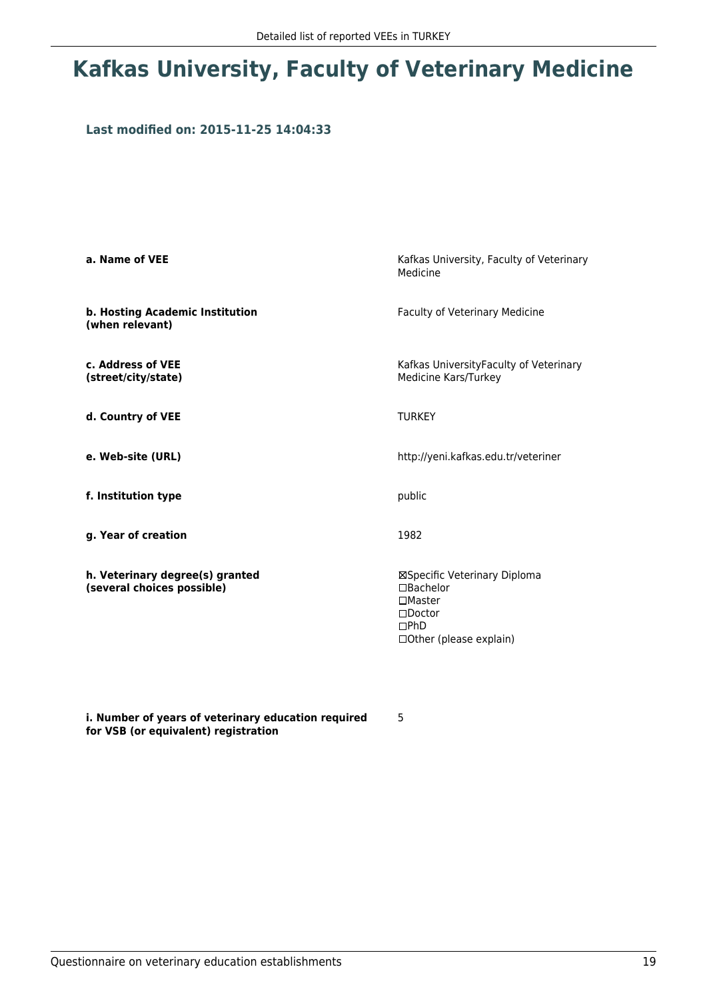# **Kafkas University, Faculty of Veterinary Medicine**

### **Last modified on: 2015-11-25 14:04:33**

| a. Name of VEE                                                | Kafkas University, Faculty of Veterinary<br>Medicine                                                                           |
|---------------------------------------------------------------|--------------------------------------------------------------------------------------------------------------------------------|
| b. Hosting Academic Institution<br>(when relevant)            | Faculty of Veterinary Medicine                                                                                                 |
| c. Address of VEE<br>(street/city/state)                      | Kafkas UniversityFaculty of Veterinary<br>Medicine Kars/Turkey                                                                 |
| d. Country of VEE                                             | <b>TURKEY</b>                                                                                                                  |
| e. Web-site (URL)                                             | http://yeni.kafkas.edu.tr/veteriner                                                                                            |
| f. Institution type                                           | public                                                                                                                         |
| g. Year of creation                                           | 1982                                                                                                                           |
| h. Veterinary degree(s) granted<br>(several choices possible) | ⊠Specific Veterinary Diploma<br>$\Box$ Bachelor<br>$\square$ Master<br>$\Box$ Doctor<br>$\Box$ PhD<br>□ Other (please explain) |

**i. Number of years of veterinary education required for VSB (or equivalent) registration**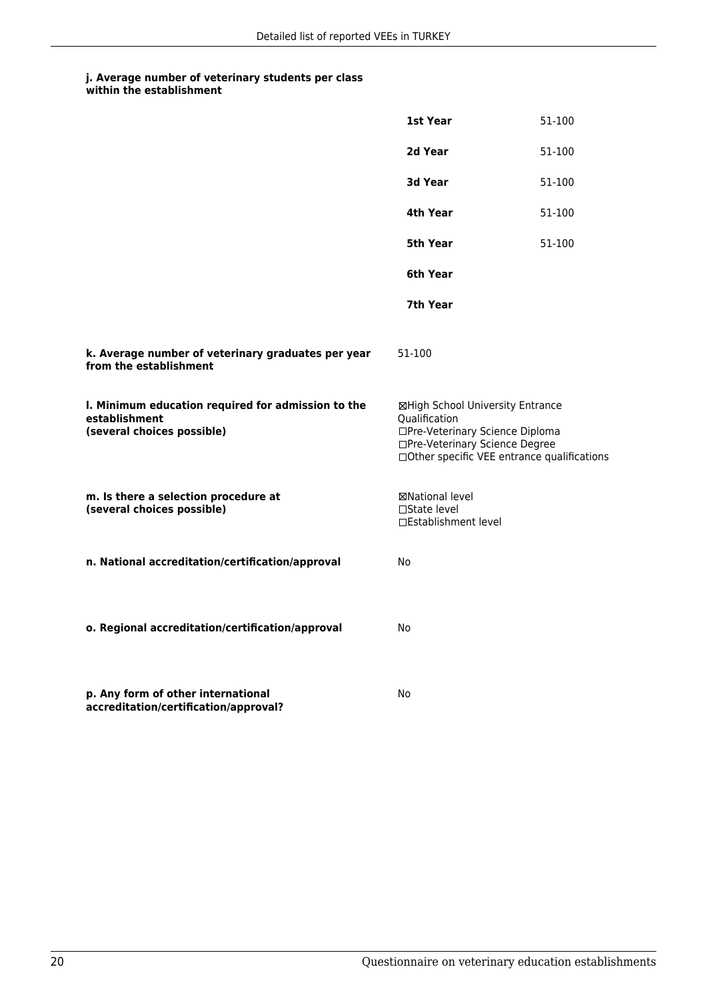|                                                                                                   | 1st Year                                                                                                                                                              | 51-100 |
|---------------------------------------------------------------------------------------------------|-----------------------------------------------------------------------------------------------------------------------------------------------------------------------|--------|
|                                                                                                   | 2d Year                                                                                                                                                               | 51-100 |
|                                                                                                   | 3d Year                                                                                                                                                               | 51-100 |
|                                                                                                   | 4th Year                                                                                                                                                              | 51-100 |
|                                                                                                   | 5th Year                                                                                                                                                              | 51-100 |
|                                                                                                   | 6th Year                                                                                                                                                              |        |
|                                                                                                   | 7th Year                                                                                                                                                              |        |
| k. Average number of veterinary graduates per year<br>from the establishment                      | 51-100                                                                                                                                                                |        |
| I. Minimum education required for admission to the<br>establishment<br>(several choices possible) | ⊠High School University Entrance<br>Qualification<br>□Pre-Veterinary Science Diploma<br>□Pre-Veterinary Science Degree<br>□Other specific VEE entrance qualifications |        |
| m. Is there a selection procedure at<br>(several choices possible)                                | ⊠National level<br>□State level<br>□Establishment level                                                                                                               |        |
| n. National accreditation/certification/approval                                                  | No                                                                                                                                                                    |        |
| o. Regional accreditation/certification/approval                                                  | No                                                                                                                                                                    |        |
| p. Any form of other international<br>accreditation/certification/approval?                       | No                                                                                                                                                                    |        |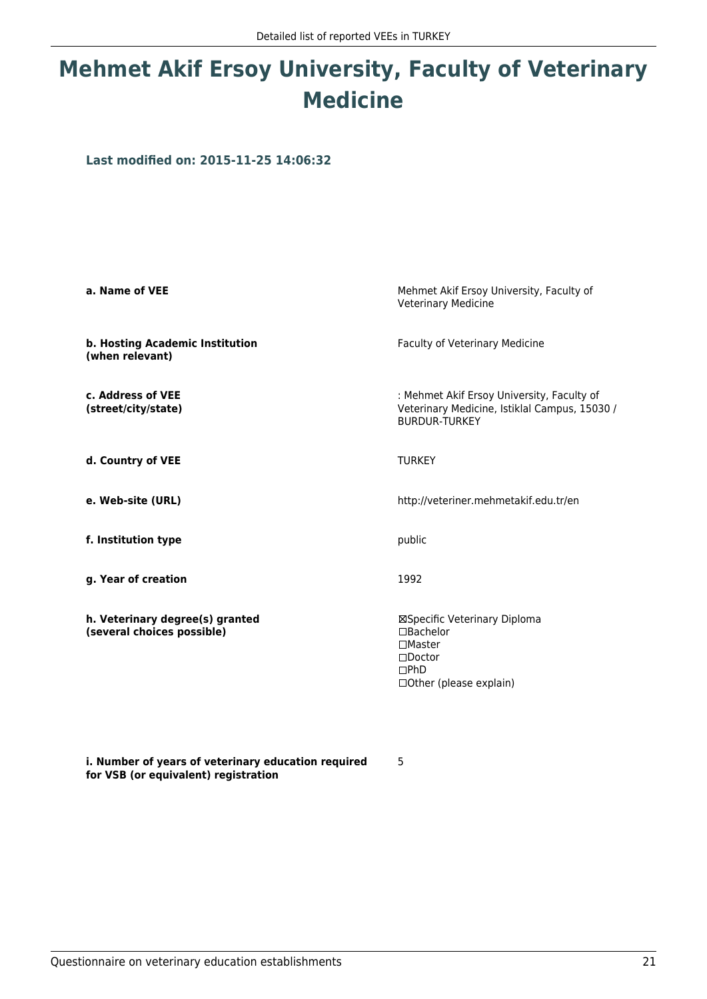# **Mehmet Akif Ersoy University, Faculty of Veterinary Medicine**

**Last modified on: 2015-11-25 14:06:32**

| a. Name of VEE                                                | Mehmet Akif Ersoy University, Faculty of<br><b>Veterinary Medicine</b>                                                         |
|---------------------------------------------------------------|--------------------------------------------------------------------------------------------------------------------------------|
| b. Hosting Academic Institution<br>(when relevant)            | Faculty of Veterinary Medicine                                                                                                 |
| c. Address of VEE<br>(street/city/state)                      | : Mehmet Akif Ersoy University, Faculty of<br>Veterinary Medicine, Istiklal Campus, 15030 /<br><b>BURDUR-TURKEY</b>            |
| d. Country of VEE                                             | <b>TURKEY</b>                                                                                                                  |
| e. Web-site (URL)                                             | http://veteriner.mehmetakif.edu.tr/en                                                                                          |
| f. Institution type                                           | public                                                                                                                         |
| g. Year of creation                                           | 1992                                                                                                                           |
| h. Veterinary degree(s) granted<br>(several choices possible) | ⊠Specific Veterinary Diploma<br>$\Box$ Bachelor<br>$\Box$ Master<br>$\Box$ Doctor<br>$\square$ PhD<br>□ Other (please explain) |

5

**i. Number of years of veterinary education required for VSB (or equivalent) registration**

Questionnaire on veterinary education establishments 21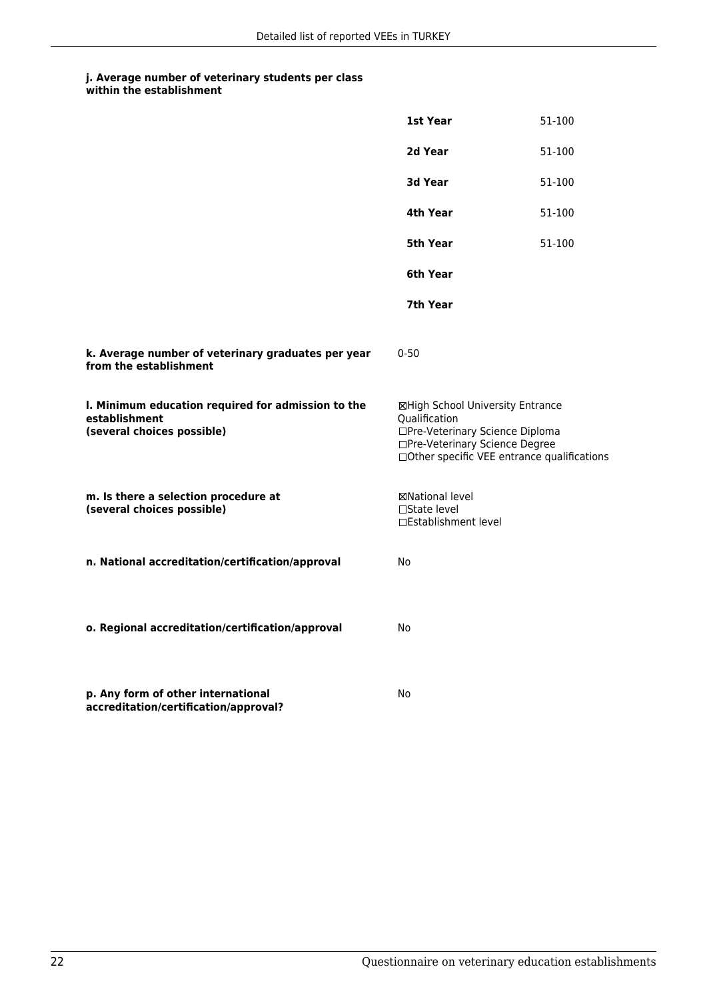|                                                                                                   | 1st Year                                                                                                                                                              | 51-100 |
|---------------------------------------------------------------------------------------------------|-----------------------------------------------------------------------------------------------------------------------------------------------------------------------|--------|
|                                                                                                   | 2d Year                                                                                                                                                               | 51-100 |
|                                                                                                   | 3d Year                                                                                                                                                               | 51-100 |
|                                                                                                   | 4th Year                                                                                                                                                              | 51-100 |
|                                                                                                   | 5th Year                                                                                                                                                              | 51-100 |
|                                                                                                   | 6th Year                                                                                                                                                              |        |
|                                                                                                   | 7th Year                                                                                                                                                              |        |
| k. Average number of veterinary graduates per year<br>from the establishment                      | $0 - 50$                                                                                                                                                              |        |
| I. Minimum education required for admission to the<br>establishment<br>(several choices possible) | ⊠High School University Entrance<br>Oualification<br>□Pre-Veterinary Science Diploma<br>□Pre-Veterinary Science Degree<br>□Other specific VEE entrance qualifications |        |
| m. Is there a selection procedure at<br>(several choices possible)                                | ⊠National level<br>$\Box$ State level<br>□Establishment level                                                                                                         |        |
| n. National accreditation/certification/approval                                                  | No                                                                                                                                                                    |        |
| o. Regional accreditation/certification/approval                                                  | No                                                                                                                                                                    |        |
| p. Any form of other international<br>accreditation/certification/approval?                       | No                                                                                                                                                                    |        |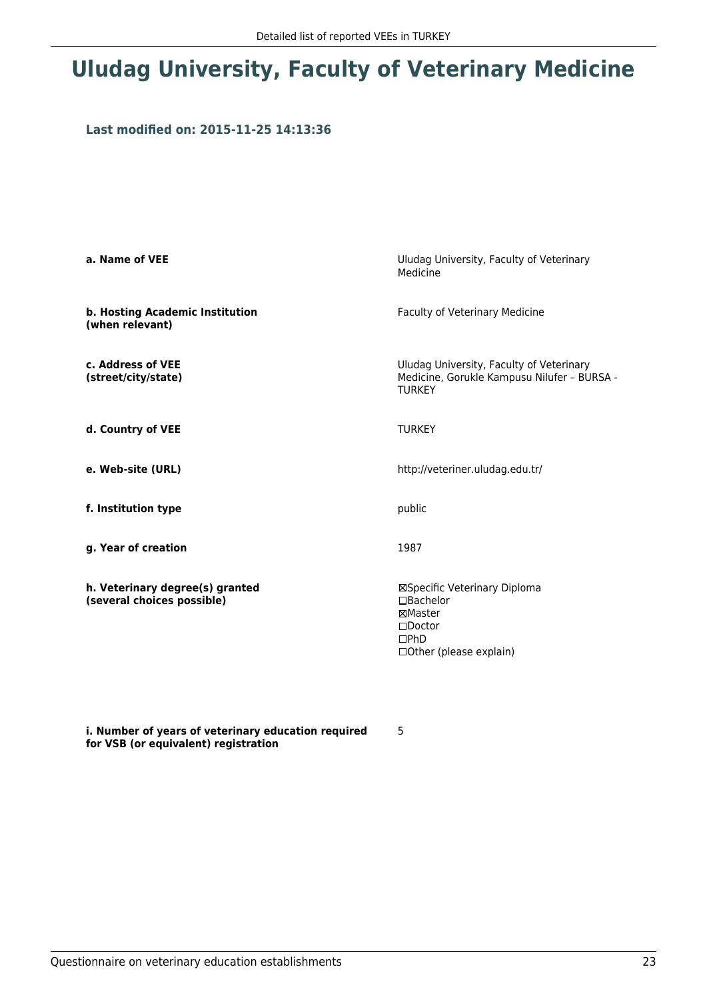# **Uludag University, Faculty of Veterinary Medicine**

### **Last modified on: 2015-11-25 14:13:36**

| a. Name of VEE                                                | Uludag University, Faculty of Veterinary<br>Medicine                                                            |  |
|---------------------------------------------------------------|-----------------------------------------------------------------------------------------------------------------|--|
| b. Hosting Academic Institution<br>(when relevant)            | Faculty of Veterinary Medicine                                                                                  |  |
| c. Address of VEE<br>(street/city/state)                      | Uludag University, Faculty of Veterinary<br>Medicine, Gorukle Kampusu Nilufer - BURSA -<br><b>TURKEY</b>        |  |
| d. Country of VEE                                             | <b>TURKEY</b>                                                                                                   |  |
| e. Web-site (URL)                                             | http://veteriner.uludag.edu.tr/                                                                                 |  |
| f. Institution type                                           | public                                                                                                          |  |
| g. Year of creation                                           | 1987                                                                                                            |  |
| h. Veterinary degree(s) granted<br>(several choices possible) | ⊠Specific Veterinary Diploma<br>□Bachelor<br>⊠Master<br>$\Box$ Doctor<br>$\Box$ PhD<br>□ Other (please explain) |  |

**i. Number of years of veterinary education required for VSB (or equivalent) registration**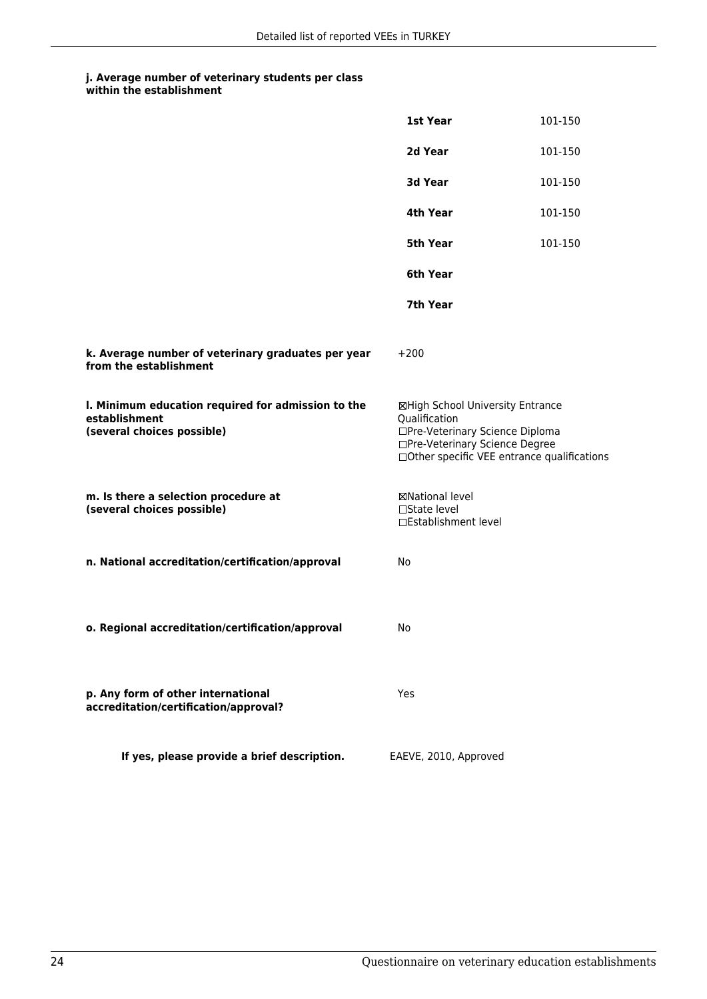|                                                                                                   | 1st Year                                                                                                                                                              | 101-150 |
|---------------------------------------------------------------------------------------------------|-----------------------------------------------------------------------------------------------------------------------------------------------------------------------|---------|
|                                                                                                   | 2d Year                                                                                                                                                               | 101-150 |
|                                                                                                   | 3d Year                                                                                                                                                               | 101-150 |
|                                                                                                   | 4th Year                                                                                                                                                              | 101-150 |
|                                                                                                   | 5th Year                                                                                                                                                              | 101-150 |
|                                                                                                   | 6th Year                                                                                                                                                              |         |
|                                                                                                   | 7th Year                                                                                                                                                              |         |
| k. Average number of veterinary graduates per year<br>from the establishment                      | $+200$                                                                                                                                                                |         |
| I. Minimum education required for admission to the<br>establishment<br>(several choices possible) | ⊠High School University Entrance<br>Qualification<br>□Pre-Veterinary Science Diploma<br>□Pre-Veterinary Science Degree<br>□Other specific VEE entrance qualifications |         |
| m. Is there a selection procedure at<br>(several choices possible)                                | ⊠National level<br>□State level<br>□Establishment level                                                                                                               |         |
| n. National accreditation/certification/approval                                                  | No                                                                                                                                                                    |         |
| o. Regional accreditation/certification/approval                                                  | No                                                                                                                                                                    |         |
| p. Any form of other international<br>accreditation/certification/approval?                       | Yes                                                                                                                                                                   |         |
| If yes, please provide a brief description.                                                       | EAEVE, 2010, Approved                                                                                                                                                 |         |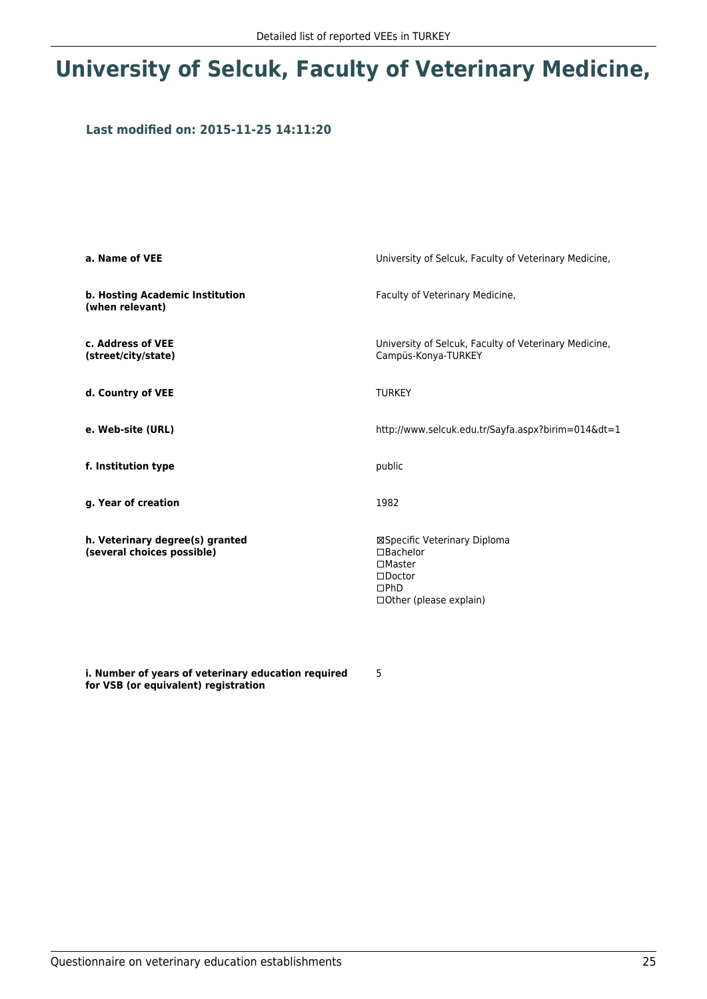# **University of Selcuk, Faculty of Veterinary Medicine,**

### **Last modified on: 2015-11-25 14:11:20**

| a. Name of VEE                                                | University of Selcuk, Faculty of Veterinary Medicine,                                                                            |
|---------------------------------------------------------------|----------------------------------------------------------------------------------------------------------------------------------|
| <b>b. Hosting Academic Institution</b><br>(when relevant)     | Faculty of Veterinary Medicine,                                                                                                  |
| c. Address of VEE<br>(street/city/state)                      | University of Selcuk, Faculty of Veterinary Medicine,<br>Campüs-Konya-TURKEY                                                     |
| d. Country of VEE                                             | <b>TURKEY</b>                                                                                                                    |
| e. Web-site (URL)                                             | http://www.selcuk.edu.tr/Sayfa.aspx?birim=014&dt=1                                                                               |
| f. Institution type                                           | public                                                                                                                           |
| g. Year of creation                                           | 1982                                                                                                                             |
| h. Veterinary degree(s) granted<br>(several choices possible) | ⊠Specific Veterinary Diploma<br>$\Box$ Bachelor<br>$\square$ Master<br>$\square$ Doctor<br>DPhD<br>$\Box$ Other (please explain) |

**i. Number of years of veterinary education required for VSB (or equivalent) registration**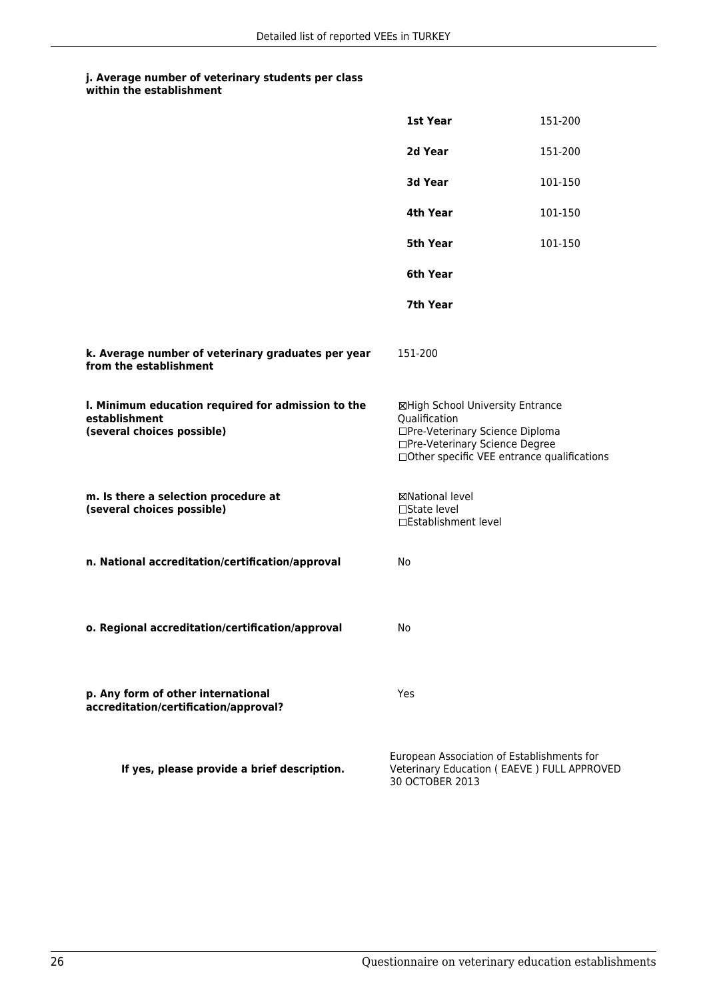|                                                                                                   | 1st Year                                                                                                                                                              | 151-200                                                                                  |
|---------------------------------------------------------------------------------------------------|-----------------------------------------------------------------------------------------------------------------------------------------------------------------------|------------------------------------------------------------------------------------------|
|                                                                                                   | 2d Year                                                                                                                                                               | 151-200                                                                                  |
|                                                                                                   | 3d Year                                                                                                                                                               | 101-150                                                                                  |
|                                                                                                   | 4th Year                                                                                                                                                              | 101-150                                                                                  |
|                                                                                                   | 5th Year                                                                                                                                                              | 101-150                                                                                  |
|                                                                                                   | 6th Year                                                                                                                                                              |                                                                                          |
|                                                                                                   | 7th Year                                                                                                                                                              |                                                                                          |
| k. Average number of veterinary graduates per year<br>from the establishment                      | 151-200                                                                                                                                                               |                                                                                          |
| I. Minimum education required for admission to the<br>establishment<br>(several choices possible) | ⊠High School University Entrance<br>Qualification<br>□Pre-Veterinary Science Diploma<br>□Pre-Veterinary Science Degree<br>□Other specific VEE entrance qualifications |                                                                                          |
| m. Is there a selection procedure at<br>(several choices possible)                                | ⊠National level<br>□State level<br>□Establishment level                                                                                                               |                                                                                          |
| n. National accreditation/certification/approval                                                  | No                                                                                                                                                                    |                                                                                          |
|                                                                                                   |                                                                                                                                                                       |                                                                                          |
| o. Regional accreditation/certification/approval                                                  | No                                                                                                                                                                    |                                                                                          |
| p. Any form of other international<br>accreditation/certification/approval?                       | Yes                                                                                                                                                                   |                                                                                          |
| If yes, please provide a brief description.                                                       | 30 OCTOBER 2013                                                                                                                                                       | European Association of Establishments for<br>Veterinary Education (EAEVE) FULL APPROVED |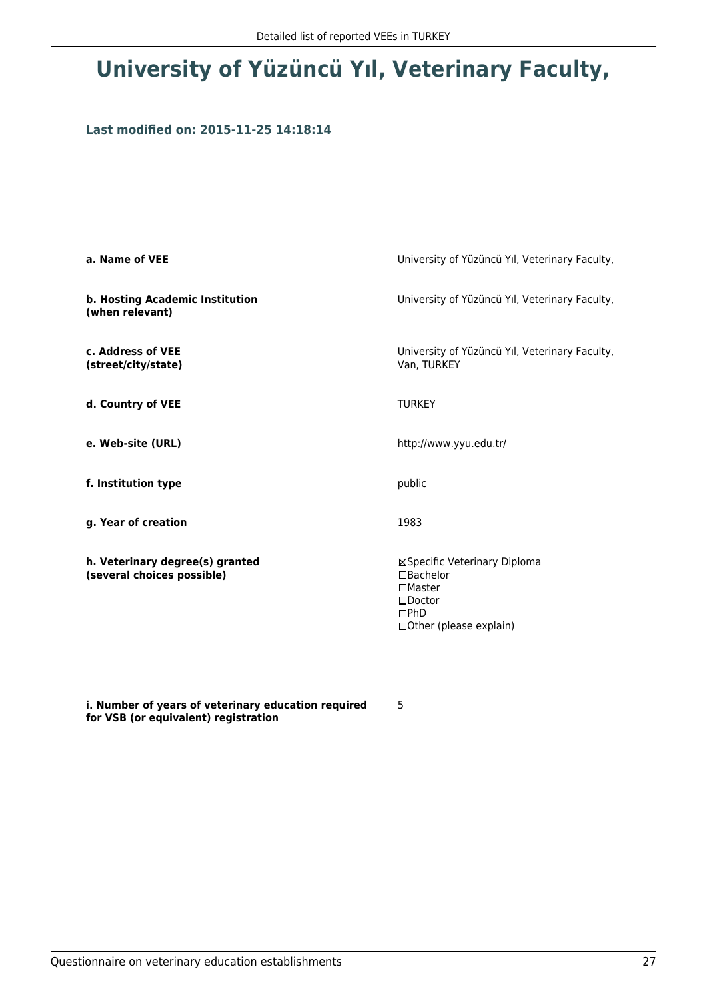# **University of Yüzüncü Yıl, Veterinary Faculty,**

### **Last modified on: 2015-11-25 14:18:14**

| a. Name of VEE                                                | University of Yüzüncü Yıl, Veterinary Faculty,                                                                        |
|---------------------------------------------------------------|-----------------------------------------------------------------------------------------------------------------------|
| b. Hosting Academic Institution<br>(when relevant)            | University of Yüzüncü Yıl, Veterinary Faculty,                                                                        |
| c. Address of VEE<br>(street/city/state)                      | University of Yüzüncü Yıl, Veterinary Faculty,<br>Van, TURKEY                                                         |
| d. Country of VEE                                             | <b>TURKEY</b>                                                                                                         |
| e. Web-site (URL)                                             | http://www.yyu.edu.tr/                                                                                                |
| f. Institution type                                           | public                                                                                                                |
| g. Year of creation                                           | 1983                                                                                                                  |
| h. Veterinary degree(s) granted<br>(several choices possible) | ⊠Specific Veterinary Diploma<br>□Bachelor<br>$\square$ Master<br>$\square$ Doctor<br>DPhD<br>□ Other (please explain) |

**i. Number of years of veterinary education required for VSB (or equivalent) registration**